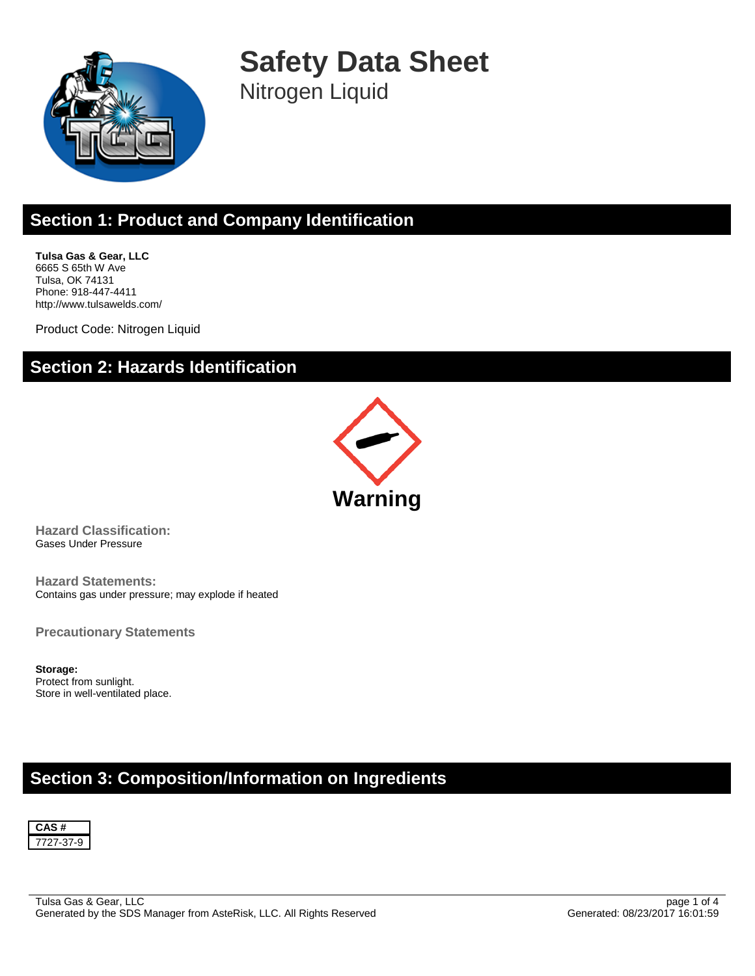

**Safety Data Sheet** Nitrogen Liquid

# **Section 1: Product and Company Identification**

**Tulsa Gas & Gear, LLC** 6665 S 65th W Ave Tulsa, OK 74131 Phone: 918-447-4411 http://www.tulsawelds.com/

Product Code: Nitrogen Liquid

#### **Section 2: Hazards Identification**



**Hazard Classification:** Gases Under Pressure

**Hazard Statements:** Contains gas under pressure; may explode if heated

**Precautionary Statements**

**Storage:** Protect from sunlight. Store in well-ventilated place.

### **Section 3: Composition/Information on Ingredients**

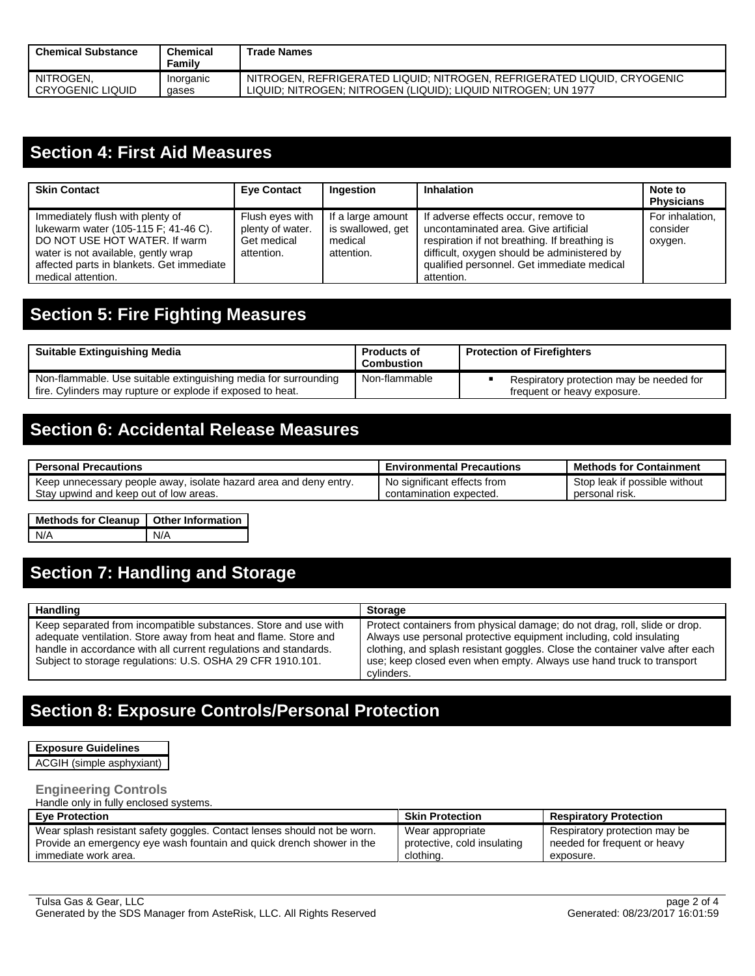| <b>Chemical Substance</b> | <b>Chemical</b><br>Familv | Trade Names                                                             |
|---------------------------|---------------------------|-------------------------------------------------------------------------|
| NITROGEN.                 | Inorganic                 | NITROGEN, REFRIGERATED LIQUID; NITROGEN, REFRIGERATED LIQUID, CRYOGENIC |
| I CRYOGENIC LIQUID        | gases                     | LIQUID; NITROGEN; NITROGEN (LIQUID); LIQUID NITROGEN; UN 1977           |

### **Section 4: First Aid Measures**

| <b>Skin Contact</b>                                                                                                                                                                                                 | <b>Eye Contact</b>                                               | Ingestion                                                       | <b>Inhalation</b>                                                                                                                                                                                                                       | Note to<br><b>Physicians</b>           |
|---------------------------------------------------------------------------------------------------------------------------------------------------------------------------------------------------------------------|------------------------------------------------------------------|-----------------------------------------------------------------|-----------------------------------------------------------------------------------------------------------------------------------------------------------------------------------------------------------------------------------------|----------------------------------------|
| Immediately flush with plenty of<br>lukewarm water (105-115 F; 41-46 C).<br>DO NOT USE HOT WATER. If warm<br>water is not available, gently wrap<br>affected parts in blankets. Get immediate<br>medical attention. | Flush eyes with<br>plenty of water.<br>Get medical<br>attention. | If a large amount<br>is swallowed, get<br>medical<br>attention. | If adverse effects occur, remove to<br>uncontaminated area. Give artificial<br>respiration if not breathing. If breathing is<br>difficult, oxygen should be administered by<br>qualified personnel. Get immediate medical<br>attention. | For inhalation,<br>consider<br>oxygen. |

# **Section 5: Fire Fighting Measures**

| <b>Suitable Extinguishing Media</b>                                                                                           | <b>Products of</b><br>Combustion | <b>Protection of Firefighters</b>                                       |
|-------------------------------------------------------------------------------------------------------------------------------|----------------------------------|-------------------------------------------------------------------------|
| Non-flammable. Use suitable extinguishing media for surrounding<br>fire. Cylinders may rupture or explode if exposed to heat. | Non-flammable                    | Respiratory protection may be needed for<br>frequent or heavy exposure. |

### **Section 6: Accidental Release Measures**

| <b>Personal Precautions</b>                                       | <b>Environmental Precautions</b> | <b>Methods for Containment</b> |
|-------------------------------------------------------------------|----------------------------------|--------------------------------|
| Keep unnecessary people away, isolate hazard area and deny entry. | No significant effects from      | Stop leak if possible without  |
| Stay upwind and keep out of low areas.                            | contamination expected.          | personal risk.                 |

#### **Methods for Cleanup Other Information** N/A N/A

# **Section 7: Handling and Storage**

| Handling                                                                                                                                                                                                                                                             | <b>Storage</b>                                                                                                                                                                                                                                                                                                          |
|----------------------------------------------------------------------------------------------------------------------------------------------------------------------------------------------------------------------------------------------------------------------|-------------------------------------------------------------------------------------------------------------------------------------------------------------------------------------------------------------------------------------------------------------------------------------------------------------------------|
| Keep separated from incompatible substances. Store and use with<br>adequate ventilation. Store away from heat and flame. Store and<br>handle in accordance with all current regulations and standards.<br>Subject to storage regulations: U.S. OSHA 29 CFR 1910.101. | Protect containers from physical damage; do not drag, roll, slide or drop.<br>Always use personal protective equipment including, cold insulating<br>clothing, and splash resistant goggles. Close the container valve after each<br>use; keep closed even when empty. Always use hand truck to transport<br>cylinders. |

# **Section 8: Exposure Controls/Personal Protection**

**Exposure Guidelines** ACGIH (simple asphyxiant)

#### **Engineering Controls**

Handle only in fully enclosed systems.

| <b>Eve Protection</b>                                                    | <b>Skin Protection</b>      | <b>Respiratory Protection</b> |
|--------------------------------------------------------------------------|-----------------------------|-------------------------------|
| Wear splash resistant safety goggles. Contact lenses should not be worn. | Wear appropriate            | Respiratory protection may be |
| Provide an emergency eye wash fountain and quick drench shower in the    | protective, cold insulating | needed for frequent or heavy  |
| immediate work area.                                                     | clothing.                   | exposure.                     |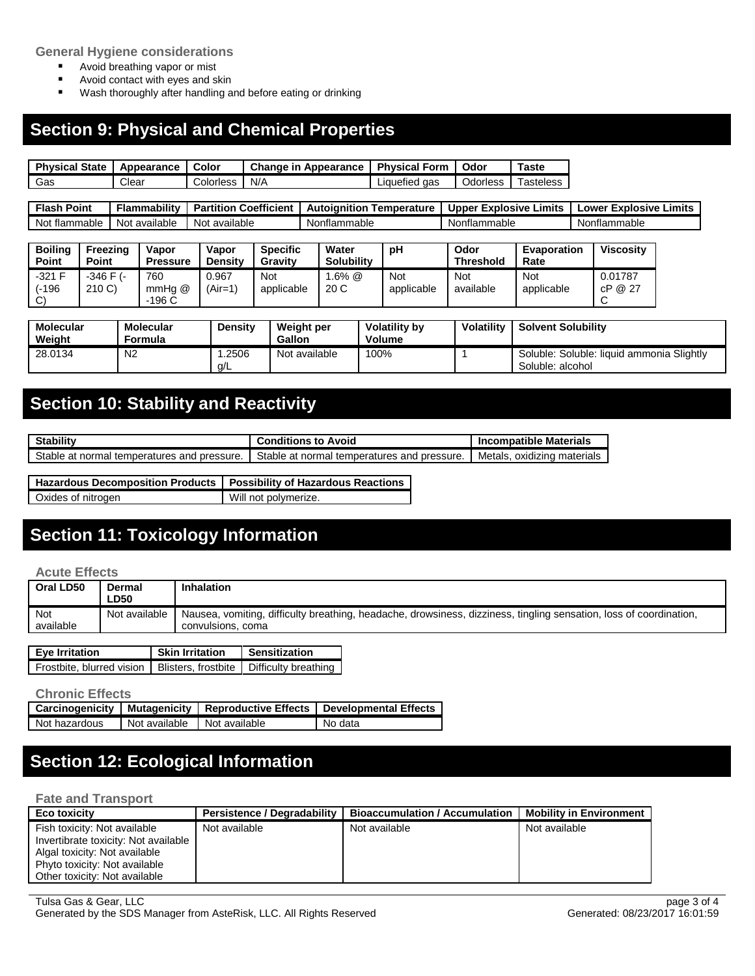**General Hygiene considerations**

- Avoid breathing vapor or mist<br>■ Avoid contact with eves and s
- Avoid contact with eyes and skin<br>■ Wash thoroughly after handling a
- Wash thoroughly after handling and before eating or drinking

### **Section 9: Physical and Chemical Properties**

| <b>Physical State I</b> | Appearance I | Color     | <b>Change in Appearance   Physical Form</b> |               | Odor     | Taste     |
|-------------------------|--------------|-----------|---------------------------------------------|---------------|----------|-----------|
| Gas                     | Clear        | Colorless | N/A                                         | Liquefied gas | Odorless | Tasteless |

| Flash<br>Point      | .<br>Flammabilitv | <b>Coefficient</b><br>Partition | Temperature<br>Autolanition | Limits.<br>Explosive<br><b>Upper</b> | Explosive<br>Limits<br>_ower |
|---------------------|-------------------|---------------------------------|-----------------------------|--------------------------------------|------------------------------|
| Not<br>it flammable | Not available     | available<br>Not                | Nonflammable                | Nonflammable                         | Nonflammable                 |

| <b>Boiling</b><br>Point           | Freezing<br><b>Point</b> | Vapor<br><b>Pressure</b> | Vapor<br><b>Density</b> | <b>Specific</b><br>Gravity | Water<br><b>Solubility</b> | рH                | Odor<br><b>Threshold</b> | Evaporation<br>Rate | <b>Viscosity</b>   |
|-----------------------------------|--------------------------|--------------------------|-------------------------|----------------------------|----------------------------|-------------------|--------------------------|---------------------|--------------------|
| $-321$ F<br>(-196<br>$\sim$<br>َب | $-346$ F $(-)$<br>210 C  | 760<br>mmHa @<br>$-196C$ | 0.967<br>(Air=1)        | Not<br>applicable          | .6% @<br>20 C              | Not<br>applicable | Not<br>available         | Not<br>applicable   | 0.01787<br>cP @ 27 |

| <b>Molecular</b><br>Weight | <b>Molecular</b><br>Formula | <b>Density</b> | <b>Weight per</b><br>Gallon | <b>Volatility by</b><br><b>Volume</b> | <b>Volatility</b> | <b>Solvent Solubility</b>                                     |
|----------------------------|-----------------------------|----------------|-----------------------------|---------------------------------------|-------------------|---------------------------------------------------------------|
| 28.0134                    | N <sub>2</sub>              | .2506<br>Q/L   | Not available               | $00\%$                                |                   | Soluble: Soluble: liquid ammonia Slightly<br>Soluble: alcohol |

# **Section 10: Stability and Reactivity**

| <b>Stability</b>                            | Conditions to Avoid                           | <b>Incompatible Materials</b> |
|---------------------------------------------|-----------------------------------------------|-------------------------------|
| Stable at normal temperatures and pressure. | . Stable at normal temperatures and pressure. | oxidizing materials<br>Metals |

| Hazardous Decomposition Products   Possibility of Hazardous Reactions |                      |
|-----------------------------------------------------------------------|----------------------|
| Oxides of nitrogen                                                    | Will not polymerize. |

# **Section 11: Toxicology Information**

#### **Acute Effects**

| Oral LD50        | Dermal<br>∟D50 | Inhalation                                                                                                                              |
|------------------|----------------|-----------------------------------------------------------------------------------------------------------------------------------------|
| Not<br>available | Not available  | Nausea, vomiting, difficulty breathing, headache, drowsiness, dizziness, tingling sensation, loss of coordination,<br>convulsions, coma |

| <b>Eye Irritation</b>                                                  | <b>Skin Irritation</b> | <b>Sensitization</b> |  |
|------------------------------------------------------------------------|------------------------|----------------------|--|
| Frostbite, blurred vision   Blisters, frostbite   Difficulty breathing |                        |                      |  |

#### **Chronic Effects**

|               |               | Carcinogenicity   Mutagenicity   Reproductive Effects | Developmental Effects |
|---------------|---------------|-------------------------------------------------------|-----------------------|
| Not hazardous | Not available | Not available                                         | No data               |

# **Section 12: Ecological Information**

#### **Fate and Transport**

| <b>Eco toxicity</b>                                                                                                                                                     | <b>Persistence / Degradability</b> | <b>Bioaccumulation / Accumulation</b> | <b>Mobility in Environment</b> |
|-------------------------------------------------------------------------------------------------------------------------------------------------------------------------|------------------------------------|---------------------------------------|--------------------------------|
| Fish toxicity: Not available<br>Invertibrate toxicity: Not available<br>Algal toxicity: Not available<br>Phyto toxicity: Not available<br>Other toxicity: Not available | Not available                      | Not available                         | Not available                  |